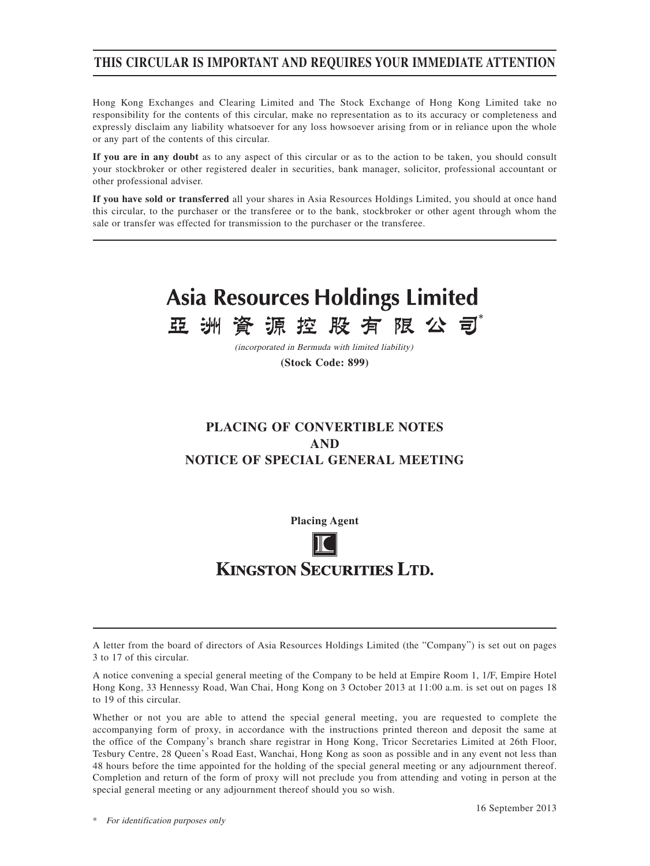## **THIS CIRCULAR IS IMPORTANT AND REQUIRES YOUR IMMEDIATE ATTENTION**

Hong Kong Exchanges and Clearing Limited and The Stock Exchange of Hong Kong Limited take no responsibility for the contents of this circular, make no representation as to its accuracy or completeness and expressly disclaim any liability whatsoever for any loss howsoever arising from or in reliance upon the whole or any part of the contents of this circular.

**If you are in any doubt** as to any aspect of this circular or as to the action to be taken, you should consult your stockbroker or other registered dealer in securities, bank manager, solicitor, professional accountant or other professional adviser.

**If you have sold or transferred** all your shares in Asia Resources Holdings Limited, you should at once hand this circular, to the purchaser or the transferee or to the bank, stockbroker or other agent through whom the sale or transfer was effected for transmission to the purchaser or the transferee.

## **Asia Resources Holdings Limited** 源控股有限公司 亞 洲 資

(incorporated in Bermuda with limited liability)

**(Stock Code: 899)**

# **PLACING OF CONVERTIBLE NOTES AND NOTICE OF SPECIAL GENERAL MEETING**

**Placing Agent**

# **KINGSTON SECURITIES LTD.**

A letter from the board of directors of Asia Resources Holdings Limited (the "Company") is set out on pages 3 to 17 of this circular.

A notice convening a special general meeting of the Company to be held at Empire Room 1, 1/F, Empire Hotel Hong Kong, 33 Hennessy Road, Wan Chai, Hong Kong on 3 October 2013 at 11:00 a.m. is set out on pages 18 to 19 of this circular.

Whether or not you are able to attend the special general meeting, you are requested to complete the accompanying form of proxy, in accordance with the instructions printed thereon and deposit the same at the office of the Company's branch share registrar in Hong Kong, Tricor Secretaries Limited at 26th Floor, Tesbury Centre, 28 Queen's Road East, Wanchai, Hong Kong as soon as possible and in any event not less than 48 hours before the time appointed for the holding of the special general meeting or any adjournment thereof. Completion and return of the form of proxy will not preclude you from attending and voting in person at the special general meeting or any adjournment thereof should you so wish.

\* For identification purposes only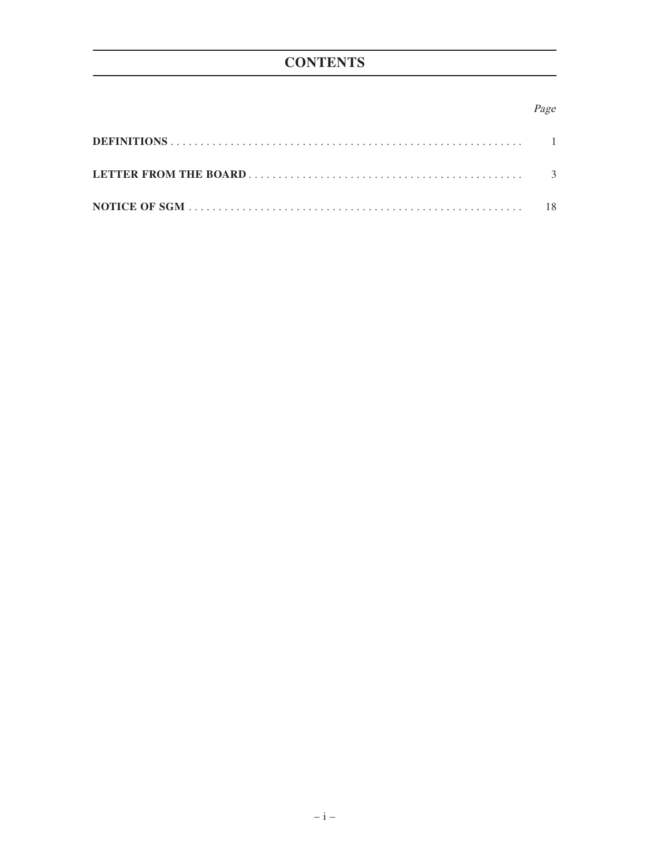# **CONTENTS**

## Page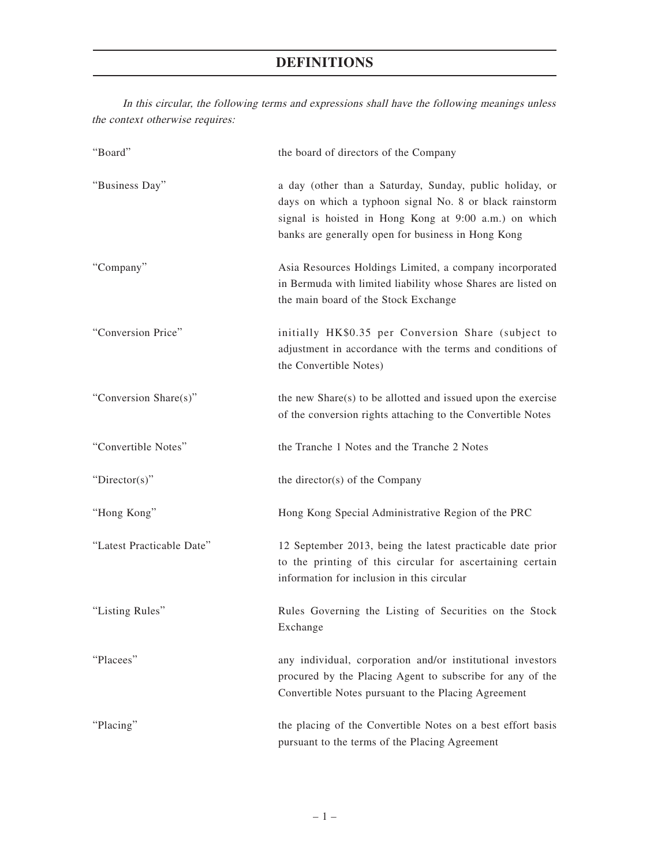# **DEFINITIONS**

| the context otherwise requires: |                                                                                                                                                                                                                                                                             |  |  |  |
|---------------------------------|-----------------------------------------------------------------------------------------------------------------------------------------------------------------------------------------------------------------------------------------------------------------------------|--|--|--|
| "Board"                         | the board of directors of the Company<br>a day (other than a Saturday, Sunday, public holiday, or<br>days on which a typhoon signal No. 8 or black rainstorm<br>signal is hoisted in Hong Kong at 9:00 a.m.) on which<br>banks are generally open for business in Hong Kong |  |  |  |
| "Business Day"                  |                                                                                                                                                                                                                                                                             |  |  |  |
| "Company"                       | Asia Resources Holdings Limited, a company incorporated<br>in Bermuda with limited liability whose Shares are listed on<br>the main board of the Stock Exchange                                                                                                             |  |  |  |
| "Conversion Price"              | initially HK\$0.35 per Conversion Share (subject to<br>adjustment in accordance with the terms and conditions of<br>the Convertible Notes)                                                                                                                                  |  |  |  |
| "Conversion Share(s)"           | the new $Share(s)$ to be allotted and issued upon the exercise<br>of the conversion rights attaching to the Convertible Notes                                                                                                                                               |  |  |  |
| "Convertible Notes"             | the Tranche 1 Notes and the Tranche 2 Notes                                                                                                                                                                                                                                 |  |  |  |
| "Director(s)"                   | the director(s) of the Company                                                                                                                                                                                                                                              |  |  |  |
| "Hong Kong"                     | Hong Kong Special Administrative Region of the PRC                                                                                                                                                                                                                          |  |  |  |
| "Latest Practicable Date"       | 12 September 2013, being the latest practicable date prior<br>to the printing of this circular for ascertaining certain<br>information for inclusion in this circular                                                                                                       |  |  |  |
| "Listing Rules"                 | Rules Governing the Listing of Securities on the Stock<br>Exchange                                                                                                                                                                                                          |  |  |  |
| "Placees"                       | any individual, corporation and/or institutional investors<br>procured by the Placing Agent to subscribe for any of the<br>Convertible Notes pursuant to the Placing Agreement                                                                                              |  |  |  |
| "Placing"                       | the placing of the Convertible Notes on a best effort basis<br>pursuant to the terms of the Placing Agreement                                                                                                                                                               |  |  |  |

In this circular, the following terms and expressions shall have the following meanings unless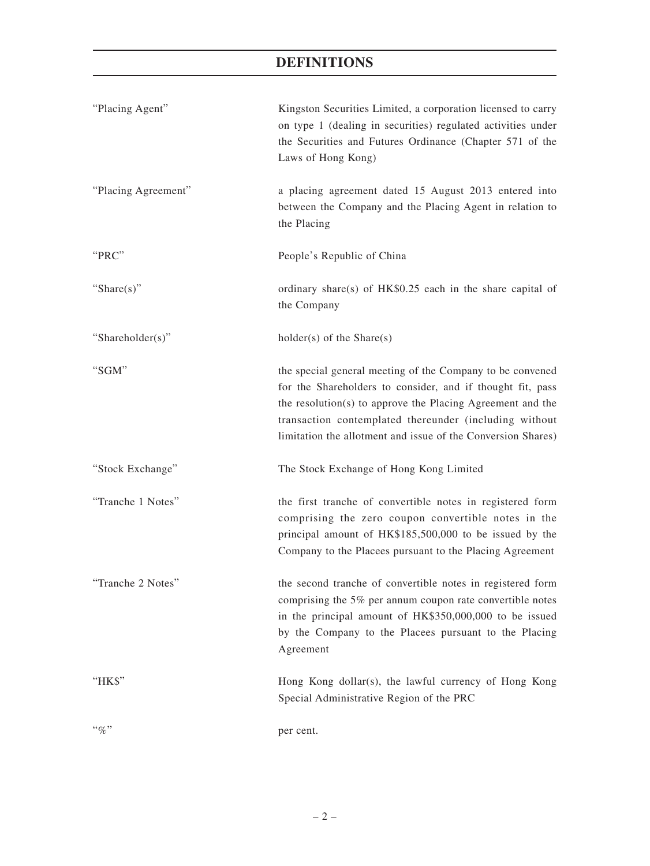# **DEFINITIONS**

| "Placing Agent"     | Kingston Securities Limited, a corporation licensed to carry<br>on type 1 (dealing in securities) regulated activities under<br>the Securities and Futures Ordinance (Chapter 571 of the<br>Laws of Hong Kong)                                                                                                  |
|---------------------|-----------------------------------------------------------------------------------------------------------------------------------------------------------------------------------------------------------------------------------------------------------------------------------------------------------------|
| "Placing Agreement" | a placing agreement dated 15 August 2013 entered into<br>between the Company and the Placing Agent in relation to<br>the Placing                                                                                                                                                                                |
| "PRC"               | People's Republic of China                                                                                                                                                                                                                                                                                      |
| "Share $(s)$ "      | ordinary share(s) of HK\$0.25 each in the share capital of<br>the Company                                                                                                                                                                                                                                       |
| "Shareholder(s)"    | $holder(s)$ of the Share $(s)$                                                                                                                                                                                                                                                                                  |
| "SGM"               | the special general meeting of the Company to be convened<br>for the Shareholders to consider, and if thought fit, pass<br>the resolution(s) to approve the Placing Agreement and the<br>transaction contemplated thereunder (including without<br>limitation the allotment and issue of the Conversion Shares) |
| "Stock Exchange"    | The Stock Exchange of Hong Kong Limited                                                                                                                                                                                                                                                                         |
| "Tranche 1 Notes"   | the first tranche of convertible notes in registered form<br>comprising the zero coupon convertible notes in the<br>principal amount of HK\$185,500,000 to be issued by the<br>Company to the Placees pursuant to the Placing Agreement                                                                         |
| "Tranche 2 Notes"   | the second tranche of convertible notes in registered form<br>comprising the 5% per annum coupon rate convertible notes<br>in the principal amount of HK\$350,000,000 to be issued<br>by the Company to the Placees pursuant to the Placing<br>Agreement                                                        |
| "HK\$"              | Hong Kong dollar(s), the lawful currency of Hong Kong<br>Special Administrative Region of the PRC                                                                                                                                                                                                               |
| $``\%"$             | per cent.                                                                                                                                                                                                                                                                                                       |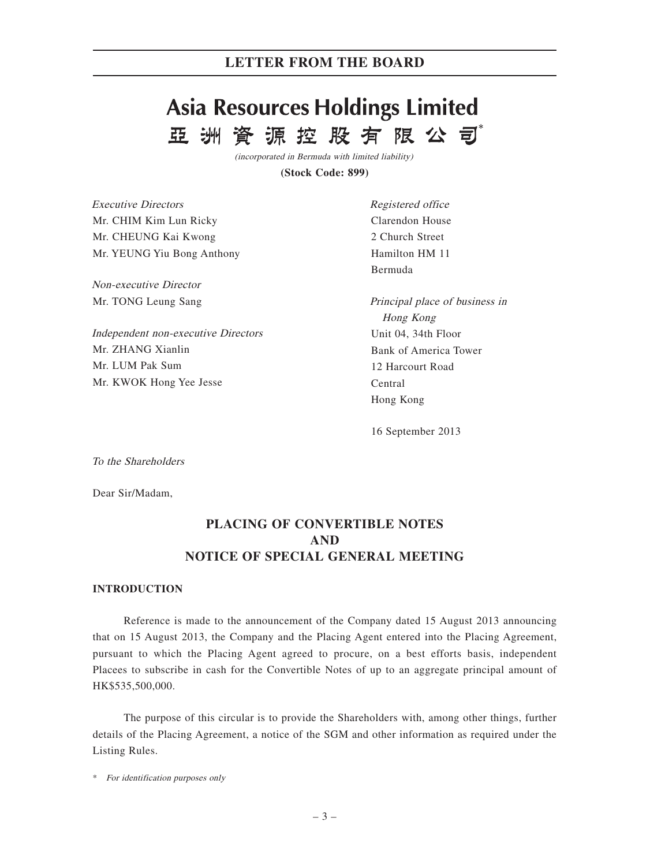# **Asia Resources Holdings Limited** 資源控股有限公司 亞洲

(incorporated in Bermuda with limited liability)

**(Stock Code: 899)**

| <i>Executive Directors</i> |
|----------------------------|
| Mr. CHIM Kim Lun Ricky     |
| Mr. CHEUNG Kai Kwong       |
| Mr. YEUNG Yiu Bong Anthony |

Non-executive Director Mr. TONG Leung Sang

Independent non-executive Directors Mr. ZHANG Xianlin Mr. LUM Pak Sum Mr. KWOK Hong Yee Jesse

Registered office Clarendon House 2 Church Street Hamilton HM 11 Bermuda

Principal place of business in Hong Kong Unit 04, 34th Floor Bank of America Tower 12 Harcourt Road Central Hong Kong

16 September 2013

To the Shareholders

Dear Sir/Madam,

## **PLACING OF CONVERTIBLE NOTES AND NOTICE OF SPECIAL GENERAL MEETING**

### **INTRODUCTION**

Reference is made to the announcement of the Company dated 15 August 2013 announcing that on 15 August 2013, the Company and the Placing Agent entered into the Placing Agreement, pursuant to which the Placing Agent agreed to procure, on a best efforts basis, independent Placees to subscribe in cash for the Convertible Notes of up to an aggregate principal amount of HK\$535,500,000.

The purpose of this circular is to provide the Shareholders with, among other things, further details of the Placing Agreement, a notice of the SGM and other information as required under the Listing Rules.

\* For identification purposes only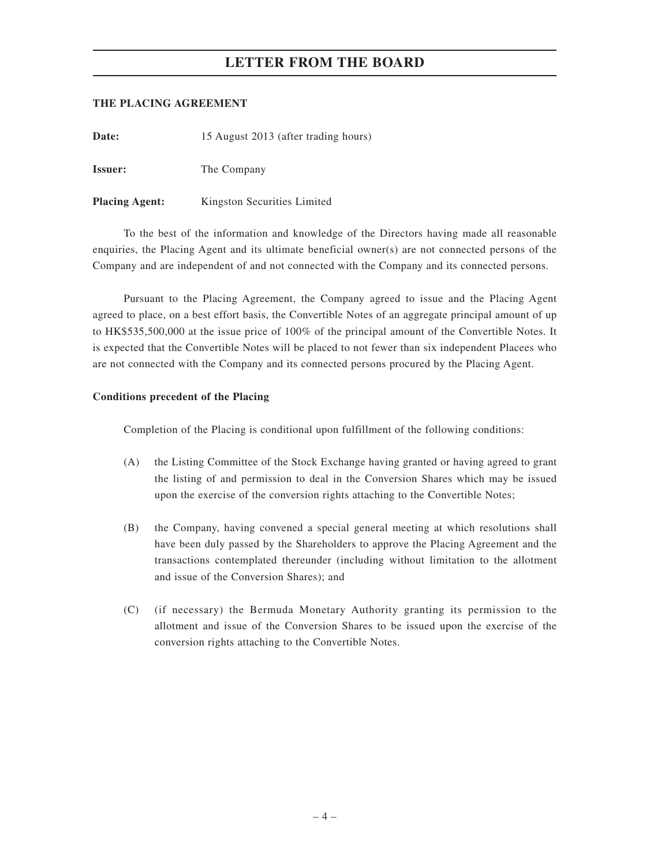## **THE PLACING AGREEMENT**

Date: 15 August 2013 (after trading hours)

**Issuer:** The Company

**Placing Agent:** Kingston Securities Limited

To the best of the information and knowledge of the Directors having made all reasonable enquiries, the Placing Agent and its ultimate beneficial owner(s) are not connected persons of the Company and are independent of and not connected with the Company and its connected persons.

Pursuant to the Placing Agreement, the Company agreed to issue and the Placing Agent agreed to place, on a best effort basis, the Convertible Notes of an aggregate principal amount of up to HK\$535,500,000 at the issue price of 100% of the principal amount of the Convertible Notes. It is expected that the Convertible Notes will be placed to not fewer than six independent Placees who are not connected with the Company and its connected persons procured by the Placing Agent.

### **Conditions precedent of the Placing**

Completion of the Placing is conditional upon fulfillment of the following conditions:

- (A) the Listing Committee of the Stock Exchange having granted or having agreed to grant the listing of and permission to deal in the Conversion Shares which may be issued upon the exercise of the conversion rights attaching to the Convertible Notes;
- (B) the Company, having convened a special general meeting at which resolutions shall have been duly passed by the Shareholders to approve the Placing Agreement and the transactions contemplated thereunder (including without limitation to the allotment and issue of the Conversion Shares); and
- (C) (if necessary) the Bermuda Monetary Authority granting its permission to the allotment and issue of the Conversion Shares to be issued upon the exercise of the conversion rights attaching to the Convertible Notes.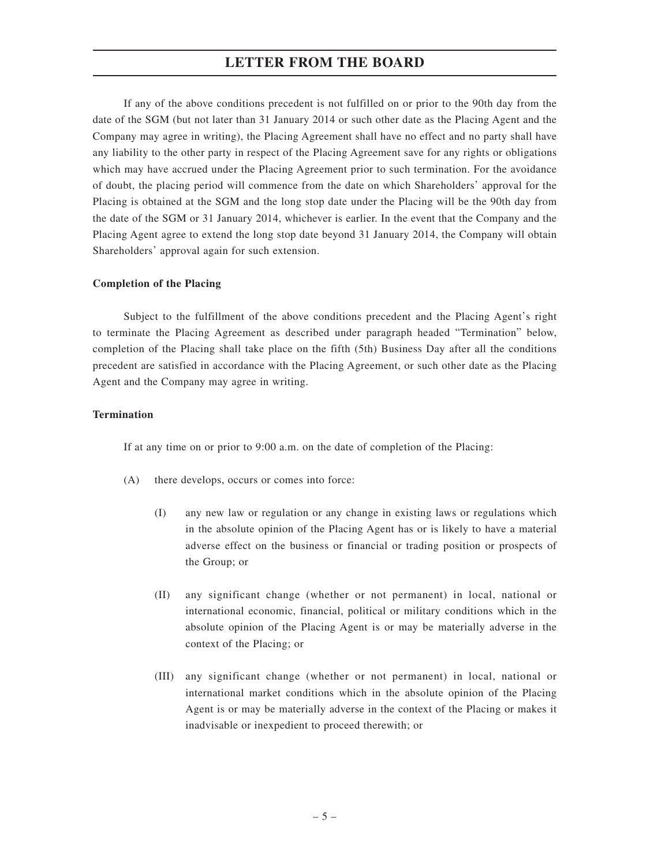If any of the above conditions precedent is not fulfilled on or prior to the 90th day from the date of the SGM (but not later than 31 January 2014 or such other date as the Placing Agent and the Company may agree in writing), the Placing Agreement shall have no effect and no party shall have any liability to the other party in respect of the Placing Agreement save for any rights or obligations which may have accrued under the Placing Agreement prior to such termination. For the avoidance of doubt, the placing period will commence from the date on which Shareholders' approval for the Placing is obtained at the SGM and the long stop date under the Placing will be the 90th day from the date of the SGM or 31 January 2014, whichever is earlier. In the event that the Company and the Placing Agent agree to extend the long stop date beyond 31 January 2014, the Company will obtain Shareholders' approval again for such extension.

#### **Completion of the Placing**

Subject to the fulfillment of the above conditions precedent and the Placing Agent's right to terminate the Placing Agreement as described under paragraph headed "Termination" below, completion of the Placing shall take place on the fifth (5th) Business Day after all the conditions precedent are satisfied in accordance with the Placing Agreement, or such other date as the Placing Agent and the Company may agree in writing.

## **Termination**

If at any time on or prior to 9:00 a.m. on the date of completion of the Placing:

- (A) there develops, occurs or comes into force:
	- (I) any new law or regulation or any change in existing laws or regulations which in the absolute opinion of the Placing Agent has or is likely to have a material adverse effect on the business or financial or trading position or prospects of the Group; or
	- (II) any significant change (whether or not permanent) in local, national or international economic, financial, political or military conditions which in the absolute opinion of the Placing Agent is or may be materially adverse in the context of the Placing; or
	- (III) any significant change (whether or not permanent) in local, national or international market conditions which in the absolute opinion of the Placing Agent is or may be materially adverse in the context of the Placing or makes it inadvisable or inexpedient to proceed therewith; or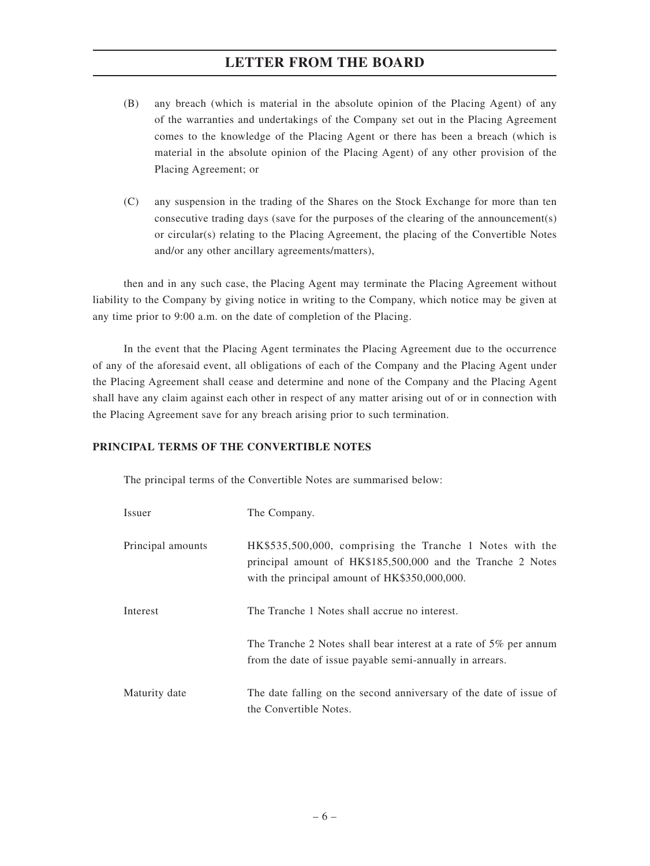- (B) any breach (which is material in the absolute opinion of the Placing Agent) of any of the warranties and undertakings of the Company set out in the Placing Agreement comes to the knowledge of the Placing Agent or there has been a breach (which is material in the absolute opinion of the Placing Agent) of any other provision of the Placing Agreement; or
- (C) any suspension in the trading of the Shares on the Stock Exchange for more than ten consecutive trading days (save for the purposes of the clearing of the announcement(s) or circular(s) relating to the Placing Agreement, the placing of the Convertible Notes and/or any other ancillary agreements/matters),

then and in any such case, the Placing Agent may terminate the Placing Agreement without liability to the Company by giving notice in writing to the Company, which notice may be given at any time prior to 9:00 a.m. on the date of completion of the Placing.

In the event that the Placing Agent terminates the Placing Agreement due to the occurrence of any of the aforesaid event, all obligations of each of the Company and the Placing Agent under the Placing Agreement shall cease and determine and none of the Company and the Placing Agent shall have any claim against each other in respect of any matter arising out of or in connection with the Placing Agreement save for any breach arising prior to such termination.

## **PRINCIPAL TERMS OF THE CONVERTIBLE NOTES**

The principal terms of the Convertible Notes are summarised below:

| Issuer            | The Company.                                                                                                                                                             |
|-------------------|--------------------------------------------------------------------------------------------------------------------------------------------------------------------------|
| Principal amounts | HK\$535,500,000, comprising the Tranche 1 Notes with the<br>principal amount of HK\$185,500,000 and the Tranche 2 Notes<br>with the principal amount of HK\$350,000,000. |
| Interest          | The Tranche 1 Notes shall accrue no interest.                                                                                                                            |
|                   | The Tranche 2 Notes shall bear interest at a rate of $5\%$ per annum<br>from the date of issue payable semi-annually in arrears.                                         |
| Maturity date     | The date falling on the second anniversary of the date of issue of<br>the Convertible Notes.                                                                             |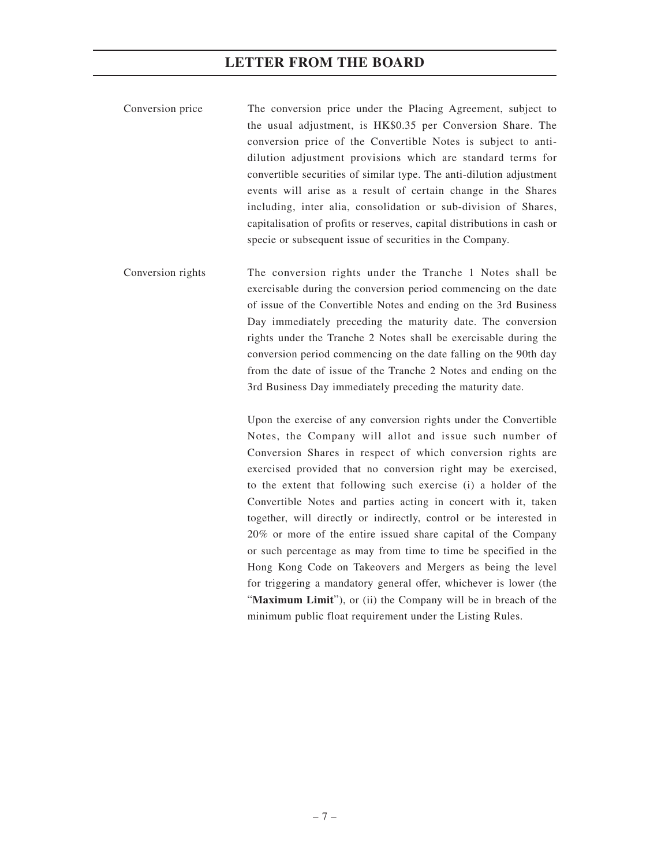- Conversion price The conversion price under the Placing Agreement, subject to the usual adjustment, is HK\$0.35 per Conversion Share. The conversion price of the Convertible Notes is subject to antidilution adjustment provisions which are standard terms for convertible securities of similar type. The anti-dilution adjustment events will arise as a result of certain change in the Shares including, inter alia, consolidation or sub-division of Shares, capitalisation of profits or reserves, capital distributions in cash or specie or subsequent issue of securities in the Company.
- Conversion rights The conversion rights under the Tranche 1 Notes shall be exercisable during the conversion period commencing on the date of issue of the Convertible Notes and ending on the 3rd Business Day immediately preceding the maturity date. The conversion rights under the Tranche 2 Notes shall be exercisable during the conversion period commencing on the date falling on the 90th day from the date of issue of the Tranche 2 Notes and ending on the 3rd Business Day immediately preceding the maturity date.

Upon the exercise of any conversion rights under the Convertible Notes, the Company will allot and issue such number of Conversion Shares in respect of which conversion rights are exercised provided that no conversion right may be exercised, to the extent that following such exercise (i) a holder of the Convertible Notes and parties acting in concert with it, taken together, will directly or indirectly, control or be interested in 20% or more of the entire issued share capital of the Company or such percentage as may from time to time be specified in the Hong Kong Code on Takeovers and Mergers as being the level for triggering a mandatory general offer, whichever is lower (the "**Maximum Limit**"), or (ii) the Company will be in breach of the minimum public float requirement under the Listing Rules.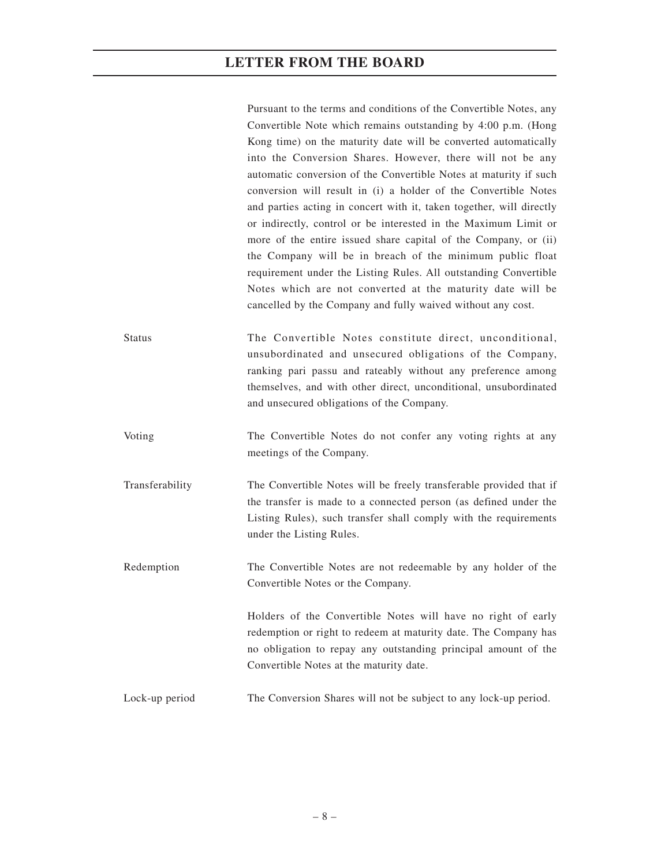Pursuant to the terms and conditions of the Convertible Notes, any Convertible Note which remains outstanding by 4:00 p.m. (Hong Kong time) on the maturity date will be converted automatically into the Conversion Shares. However, there will not be any automatic conversion of the Convertible Notes at maturity if such conversion will result in (i) a holder of the Convertible Notes and parties acting in concert with it, taken together, will directly or indirectly, control or be interested in the Maximum Limit or more of the entire issued share capital of the Company, or (ii) the Company will be in breach of the minimum public float requirement under the Listing Rules. All outstanding Convertible Notes which are not converted at the maturity date will be cancelled by the Company and fully waived without any cost.

Status The Convertible Notes constitute direct, unconditional, unsubordinated and unsecured obligations of the Company, ranking pari passu and rateably without any preference among themselves, and with other direct, unconditional, unsubordinated and unsecured obligations of the Company.

Voting The Convertible Notes do not confer any voting rights at any meetings of the Company.

Transferability The Convertible Notes will be freely transferable provided that if the transfer is made to a connected person (as defined under the Listing Rules), such transfer shall comply with the requirements under the Listing Rules.

Redemption The Convertible Notes are not redeemable by any holder of the Convertible Notes or the Company.

> Holders of the Convertible Notes will have no right of early redemption or right to redeem at maturity date. The Company has no obligation to repay any outstanding principal amount of the Convertible Notes at the maturity date.

Lock-up period The Conversion Shares will not be subject to any lock-up period.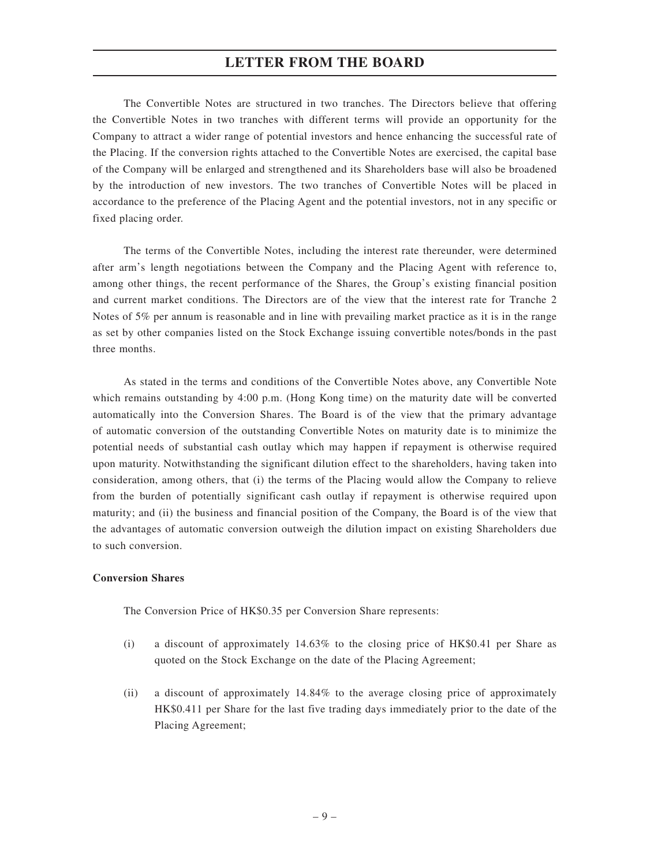The Convertible Notes are structured in two tranches. The Directors believe that offering the Convertible Notes in two tranches with different terms will provide an opportunity for the Company to attract a wider range of potential investors and hence enhancing the successful rate of the Placing. If the conversion rights attached to the Convertible Notes are exercised, the capital base of the Company will be enlarged and strengthened and its Shareholders base will also be broadened by the introduction of new investors. The two tranches of Convertible Notes will be placed in accordance to the preference of the Placing Agent and the potential investors, not in any specific or fixed placing order.

The terms of the Convertible Notes, including the interest rate thereunder, were determined after arm's length negotiations between the Company and the Placing Agent with reference to, among other things, the recent performance of the Shares, the Group's existing financial position and current market conditions. The Directors are of the view that the interest rate for Tranche 2 Notes of 5% per annum is reasonable and in line with prevailing market practice as it is in the range as set by other companies listed on the Stock Exchange issuing convertible notes/bonds in the past three months.

As stated in the terms and conditions of the Convertible Notes above, any Convertible Note which remains outstanding by 4:00 p.m. (Hong Kong time) on the maturity date will be converted automatically into the Conversion Shares. The Board is of the view that the primary advantage of automatic conversion of the outstanding Convertible Notes on maturity date is to minimize the potential needs of substantial cash outlay which may happen if repayment is otherwise required upon maturity. Notwithstanding the significant dilution effect to the shareholders, having taken into consideration, among others, that (i) the terms of the Placing would allow the Company to relieve from the burden of potentially significant cash outlay if repayment is otherwise required upon maturity; and (ii) the business and financial position of the Company, the Board is of the view that the advantages of automatic conversion outweigh the dilution impact on existing Shareholders due to such conversion.

## **Conversion Shares**

The Conversion Price of HK\$0.35 per Conversion Share represents:

- (i) a discount of approximately 14.63% to the closing price of HK\$0.41 per Share as quoted on the Stock Exchange on the date of the Placing Agreement;
- (ii) a discount of approximately 14.84% to the average closing price of approximately HK\$0.411 per Share for the last five trading days immediately prior to the date of the Placing Agreement;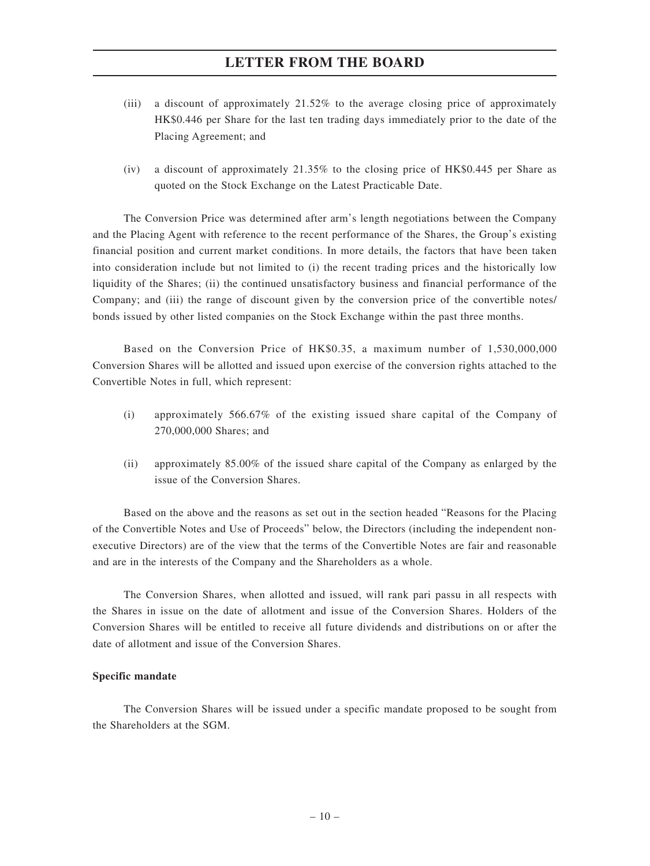- (iii) a discount of approximately 21.52% to the average closing price of approximately HK\$0.446 per Share for the last ten trading days immediately prior to the date of the Placing Agreement; and
- (iv) a discount of approximately 21.35% to the closing price of HK\$0.445 per Share as quoted on the Stock Exchange on the Latest Practicable Date.

The Conversion Price was determined after arm's length negotiations between the Company and the Placing Agent with reference to the recent performance of the Shares, the Group's existing financial position and current market conditions. In more details, the factors that have been taken into consideration include but not limited to (i) the recent trading prices and the historically low liquidity of the Shares; (ii) the continued unsatisfactory business and financial performance of the Company; and (iii) the range of discount given by the conversion price of the convertible notes/ bonds issued by other listed companies on the Stock Exchange within the past three months.

Based on the Conversion Price of HK\$0.35, a maximum number of 1,530,000,000 Conversion Shares will be allotted and issued upon exercise of the conversion rights attached to the Convertible Notes in full, which represent:

- (i) approximately 566.67% of the existing issued share capital of the Company of 270,000,000 Shares; and
- (ii) approximately 85.00% of the issued share capital of the Company as enlarged by the issue of the Conversion Shares.

Based on the above and the reasons as set out in the section headed "Reasons for the Placing of the Convertible Notes and Use of Proceeds" below, the Directors (including the independent nonexecutive Directors) are of the view that the terms of the Convertible Notes are fair and reasonable and are in the interests of the Company and the Shareholders as a whole.

The Conversion Shares, when allotted and issued, will rank pari passu in all respects with the Shares in issue on the date of allotment and issue of the Conversion Shares. Holders of the Conversion Shares will be entitled to receive all future dividends and distributions on or after the date of allotment and issue of the Conversion Shares.

### **Specific mandate**

The Conversion Shares will be issued under a specific mandate proposed to be sought from the Shareholders at the SGM.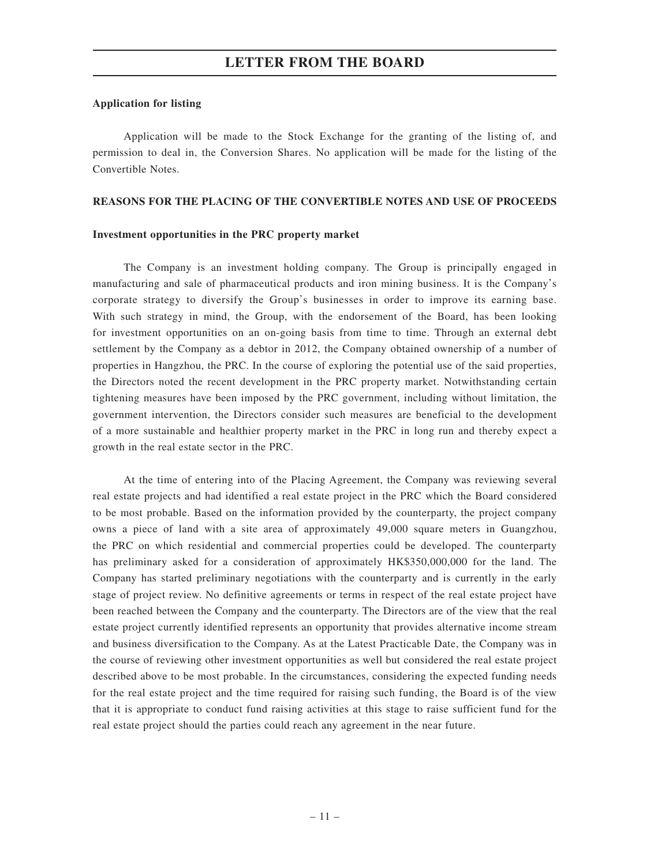#### **Application for listing**

Application will be made to the Stock Exchange for the granting of the listing of, and permission to deal in, the Conversion Shares. No application will be made for the listing of the Convertible Notes.

#### **REASONS FOR THE PLACING OF THE CONVERTIBLE NOTES AND USE OF PROCEEDS**

#### **Investment opportunities in the PRC property market**

The Company is an investment holding company. The Group is principally engaged in manufacturing and sale of pharmaceutical products and iron mining business. It is the Company's corporate strategy to diversify the Group's businesses in order to improve its earning base. With such strategy in mind, the Group, with the endorsement of the Board, has been looking for investment opportunities on an on-going basis from time to time. Through an external debt settlement by the Company as a debtor in 2012, the Company obtained ownership of a number of properties in Hangzhou, the PRC. In the course of exploring the potential use of the said properties, the Directors noted the recent development in the PRC property market. Notwithstanding certain tightening measures have been imposed by the PRC government, including without limitation, the government intervention, the Directors consider such measures are beneficial to the development of a more sustainable and healthier property market in the PRC in long run and thereby expect a growth in the real estate sector in the PRC.

At the time of entering into of the Placing Agreement, the Company was reviewing several real estate projects and had identified a real estate project in the PRC which the Board considered to be most probable. Based on the information provided by the counterparty, the project company owns a piece of land with a site area of approximately 49,000 square meters in Guangzhou, the PRC on which residential and commercial properties could be developed. The counterparty has preliminary asked for a consideration of approximately HK\$350,000,000 for the land. The Company has started preliminary negotiations with the counterparty and is currently in the early stage of project review. No definitive agreements or terms in respect of the real estate project have been reached between the Company and the counterparty. The Directors are of the view that the real estate project currently identified represents an opportunity that provides alternative income stream and business diversification to the Company. As at the Latest Practicable Date, the Company was in the course of reviewing other investment opportunities as well but considered the real estate project described above to be most probable. In the circumstances, considering the expected funding needs for the real estate project and the time required for raising such funding, the Board is of the view that it is appropriate to conduct fund raising activities at this stage to raise sufficient fund for the real estate project should the parties could reach any agreement in the near future.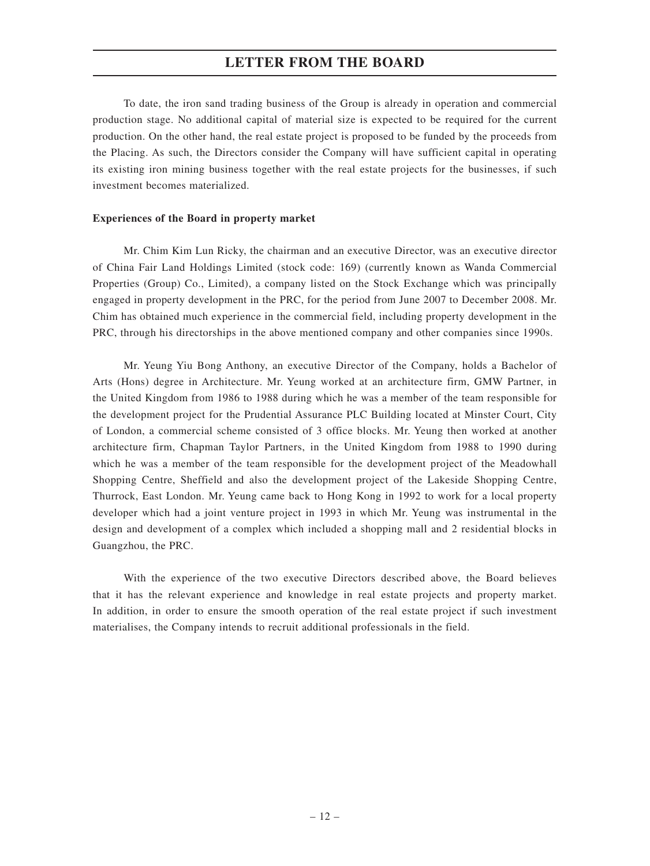To date, the iron sand trading business of the Group is already in operation and commercial production stage. No additional capital of material size is expected to be required for the current production. On the other hand, the real estate project is proposed to be funded by the proceeds from the Placing. As such, the Directors consider the Company will have sufficient capital in operating its existing iron mining business together with the real estate projects for the businesses, if such investment becomes materialized.

#### **Experiences of the Board in property market**

Mr. Chim Kim Lun Ricky, the chairman and an executive Director, was an executive director of China Fair Land Holdings Limited (stock code: 169) (currently known as Wanda Commercial Properties (Group) Co., Limited), a company listed on the Stock Exchange which was principally engaged in property development in the PRC, for the period from June 2007 to December 2008. Mr. Chim has obtained much experience in the commercial field, including property development in the PRC, through his directorships in the above mentioned company and other companies since 1990s.

Mr. Yeung Yiu Bong Anthony, an executive Director of the Company, holds a Bachelor of Arts (Hons) degree in Architecture. Mr. Yeung worked at an architecture firm, GMW Partner, in the United Kingdom from 1986 to 1988 during which he was a member of the team responsible for the development project for the Prudential Assurance PLC Building located at Minster Court, City of London, a commercial scheme consisted of 3 office blocks. Mr. Yeung then worked at another architecture firm, Chapman Taylor Partners, in the United Kingdom from 1988 to 1990 during which he was a member of the team responsible for the development project of the Meadowhall Shopping Centre, Sheffield and also the development project of the Lakeside Shopping Centre, Thurrock, East London. Mr. Yeung came back to Hong Kong in 1992 to work for a local property developer which had a joint venture project in 1993 in which Mr. Yeung was instrumental in the design and development of a complex which included a shopping mall and 2 residential blocks in Guangzhou, the PRC.

With the experience of the two executive Directors described above, the Board believes that it has the relevant experience and knowledge in real estate projects and property market. In addition, in order to ensure the smooth operation of the real estate project if such investment materialises, the Company intends to recruit additional professionals in the field.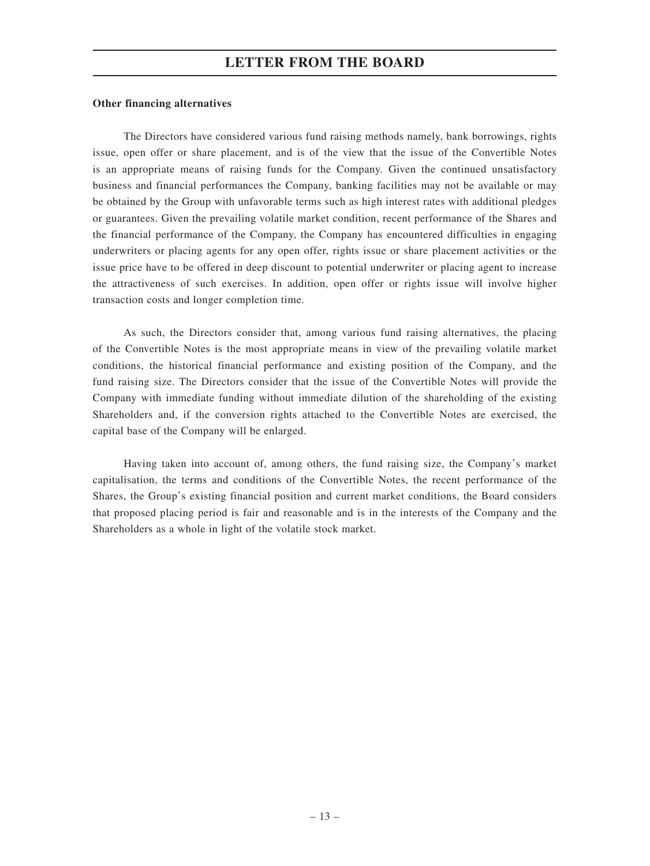#### **Other financing alternatives**

The Directors have considered various fund raising methods namely, bank borrowings, rights issue, open offer or share placement, and is of the view that the issue of the Convertible Notes is an appropriate means of raising funds for the Company. Given the continued unsatisfactory business and financial performances the Company, banking facilities may not be available or may be obtained by the Group with unfavorable terms such as high interest rates with additional pledges or guarantees. Given the prevailing volatile market condition, recent performance of the Shares and the financial performance of the Company, the Company has encountered difficulties in engaging underwriters or placing agents for any open offer, rights issue or share placement activities or the issue price have to be offered in deep discount to potential underwriter or placing agent to increase the attractiveness of such exercises. In addition, open offer or rights issue will involve higher transaction costs and longer completion time.

As such, the Directors consider that, among various fund raising alternatives, the placing of the Convertible Notes is the most appropriate means in view of the prevailing volatile market conditions, the historical financial performance and existing position of the Company, and the fund raising size. The Directors consider that the issue of the Convertible Notes will provide the Company with immediate funding without immediate dilution of the shareholding of the existing Shareholders and, if the conversion rights attached to the Convertible Notes are exercised, the capital base of the Company will be enlarged.

Having taken into account of, among others, the fund raising size, the Company's market capitalisation, the terms and conditions of the Convertible Notes, the recent performance of the Shares, the Group's existing financial position and current market conditions, the Board considers that proposed placing period is fair and reasonable and is in the interests of the Company and the Shareholders as a whole in light of the volatile stock market.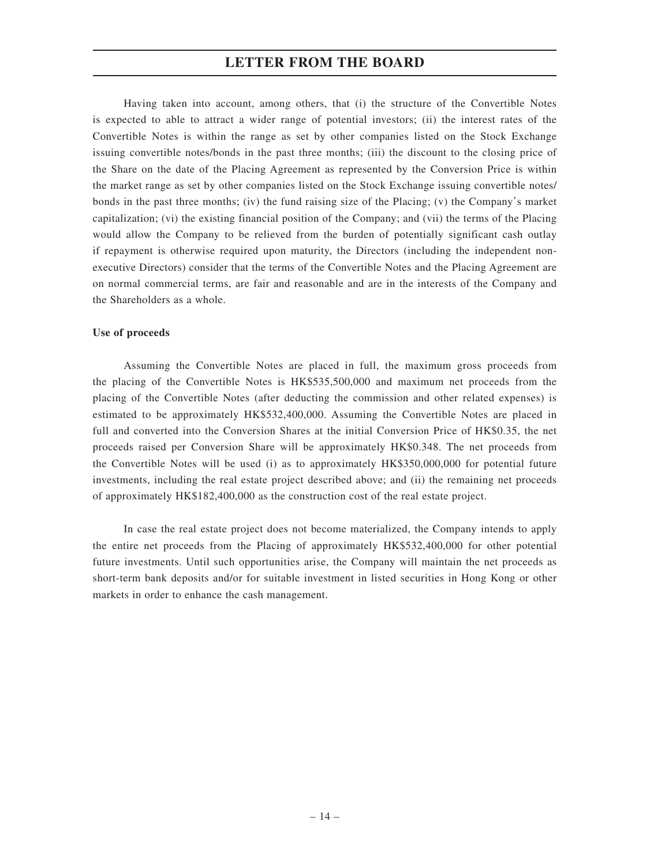Having taken into account, among others, that (i) the structure of the Convertible Notes is expected to able to attract a wider range of potential investors; (ii) the interest rates of the Convertible Notes is within the range as set by other companies listed on the Stock Exchange issuing convertible notes/bonds in the past three months; (iii) the discount to the closing price of the Share on the date of the Placing Agreement as represented by the Conversion Price is within the market range as set by other companies listed on the Stock Exchange issuing convertible notes/ bonds in the past three months; (iv) the fund raising size of the Placing; (v) the Company's market capitalization; (vi) the existing financial position of the Company; and (vii) the terms of the Placing would allow the Company to be relieved from the burden of potentially significant cash outlay if repayment is otherwise required upon maturity, the Directors (including the independent nonexecutive Directors) consider that the terms of the Convertible Notes and the Placing Agreement are on normal commercial terms, are fair and reasonable and are in the interests of the Company and the Shareholders as a whole.

#### **Use of proceeds**

Assuming the Convertible Notes are placed in full, the maximum gross proceeds from the placing of the Convertible Notes is HK\$535,500,000 and maximum net proceeds from the placing of the Convertible Notes (after deducting the commission and other related expenses) is estimated to be approximately HK\$532,400,000. Assuming the Convertible Notes are placed in full and converted into the Conversion Shares at the initial Conversion Price of HK\$0.35, the net proceeds raised per Conversion Share will be approximately HK\$0.348. The net proceeds from the Convertible Notes will be used (i) as to approximately HK\$350,000,000 for potential future investments, including the real estate project described above; and (ii) the remaining net proceeds of approximately HK\$182,400,000 as the construction cost of the real estate project.

In case the real estate project does not become materialized, the Company intends to apply the entire net proceeds from the Placing of approximately HK\$532,400,000 for other potential future investments. Until such opportunities arise, the Company will maintain the net proceeds as short-term bank deposits and/or for suitable investment in listed securities in Hong Kong or other markets in order to enhance the cash management.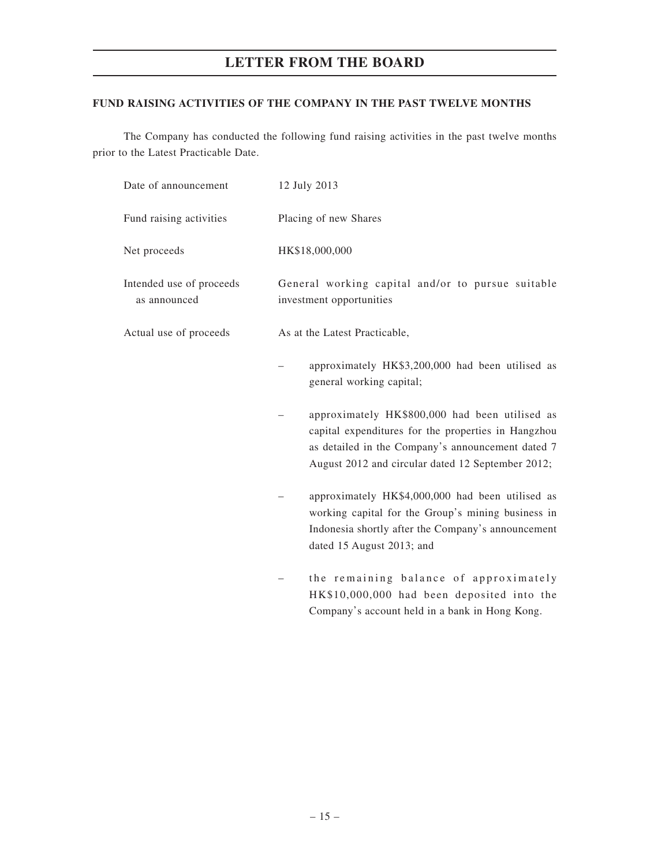## **FUND RAISING ACTIVITIES OF THE COMPANY IN THE PAST TWELVE MONTHS**

The Company has conducted the following fund raising activities in the past twelve months prior to the Latest Practicable Date.

| Date of announcement                     | 12 July 2013                                                                                                                                                                                                    |  |  |  |
|------------------------------------------|-----------------------------------------------------------------------------------------------------------------------------------------------------------------------------------------------------------------|--|--|--|
| Fund raising activities                  | Placing of new Shares                                                                                                                                                                                           |  |  |  |
| Net proceeds                             | HK\$18,000,000                                                                                                                                                                                                  |  |  |  |
| Intended use of proceeds<br>as announced | General working capital and/or to pursue suitable<br>investment opportunities                                                                                                                                   |  |  |  |
| Actual use of proceeds                   | As at the Latest Practicable,                                                                                                                                                                                   |  |  |  |
|                                          | approximately HK\$3,200,000 had been utilised as<br>general working capital;                                                                                                                                    |  |  |  |
|                                          | approximately HK\$800,000 had been utilised as<br>capital expenditures for the properties in Hangzhou<br>as detailed in the Company's announcement dated 7<br>August 2012 and circular dated 12 September 2012; |  |  |  |
|                                          | approximately HK\$4,000,000 had been utilised as<br>working capital for the Group's mining business in<br>Indonesia shortly after the Company's announcement<br>dated 15 August 2013; and                       |  |  |  |
|                                          | the remaining balance of approximately                                                                                                                                                                          |  |  |  |

HK\$10,000,000 had been deposited into the Company's account held in a bank in Hong Kong.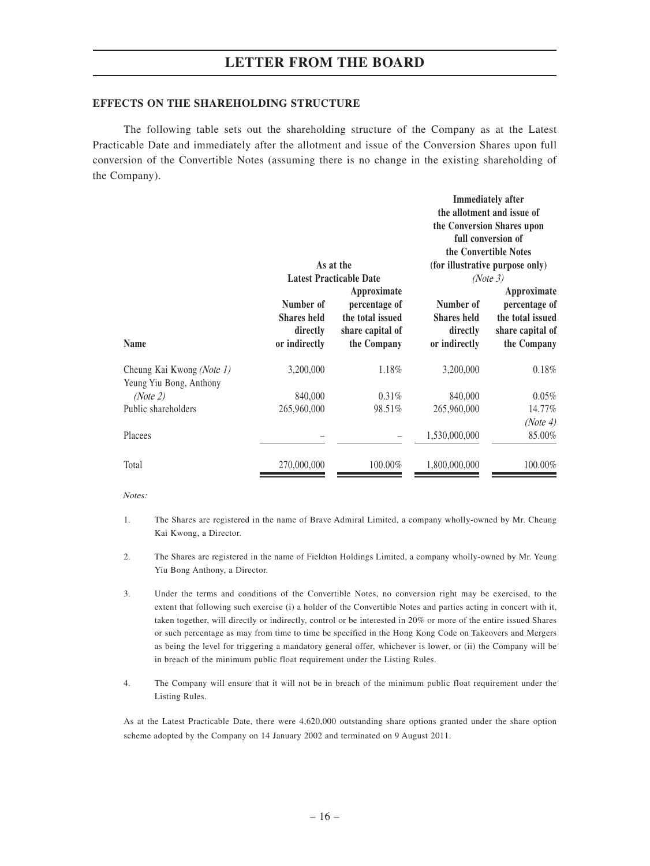#### **EFFECTS ON THE SHAREHOLDING STRUCTURE**

The following table sets out the shareholding structure of the Company as at the Latest Practicable Date and immediately after the allotment and issue of the Conversion Shares upon full conversion of the Convertible Notes (assuming there is no change in the existing shareholding of the Company).

|                                                      |                                                              | As at the<br><b>Latest Practicable Date</b>                                         |                                                              | <b>Immediately after</b><br>the allotment and issue of<br>the Conversion Shares upon<br>full conversion of<br>the Convertible Notes<br>(for illustrative purpose only)<br>(Note 3) |
|------------------------------------------------------|--------------------------------------------------------------|-------------------------------------------------------------------------------------|--------------------------------------------------------------|------------------------------------------------------------------------------------------------------------------------------------------------------------------------------------|
| <b>Name</b>                                          | Number of<br><b>Shares held</b><br>directly<br>or indirectly | Approximate<br>percentage of<br>the total issued<br>share capital of<br>the Company | Number of<br><b>Shares held</b><br>directly<br>or indirectly | Approximate<br>percentage of<br>the total issued<br>share capital of<br>the Company                                                                                                |
| Cheung Kai Kwong (Note 1)<br>Yeung Yiu Bong, Anthony | 3,200,000                                                    | 1.18%                                                                               | 3,200,000                                                    | 0.18%                                                                                                                                                                              |
| (Note 2)                                             | 840,000                                                      | $0.31\%$                                                                            | 840,000                                                      | $0.05\%$                                                                                                                                                                           |
| Public shareholders                                  | 265,960,000                                                  | 98.51%                                                                              | 265,960,000                                                  | 14.77%                                                                                                                                                                             |
|                                                      |                                                              |                                                                                     |                                                              | (Note 4)                                                                                                                                                                           |
| Placees                                              |                                                              |                                                                                     | 1,530,000,000                                                | 85.00%                                                                                                                                                                             |
| Total                                                | 270,000,000                                                  | 100.00%                                                                             | 1,800,000,000                                                | 100.00%                                                                                                                                                                            |

Notes:

- 1. The Shares are registered in the name of Brave Admiral Limited, a company wholly-owned by Mr. Cheung Kai Kwong, a Director.
- 2. The Shares are registered in the name of Fieldton Holdings Limited, a company wholly-owned by Mr. Yeung Yiu Bong Anthony, a Director.
- 3. Under the terms and conditions of the Convertible Notes, no conversion right may be exercised, to the extent that following such exercise (i) a holder of the Convertible Notes and parties acting in concert with it, taken together, will directly or indirectly, control or be interested in 20% or more of the entire issued Shares or such percentage as may from time to time be specified in the Hong Kong Code on Takeovers and Mergers as being the level for triggering a mandatory general offer, whichever is lower, or (ii) the Company will be in breach of the minimum public float requirement under the Listing Rules.
- 4. The Company will ensure that it will not be in breach of the minimum public float requirement under the Listing Rules.

As at the Latest Practicable Date, there were 4,620,000 outstanding share options granted under the share option scheme adopted by the Company on 14 January 2002 and terminated on 9 August 2011.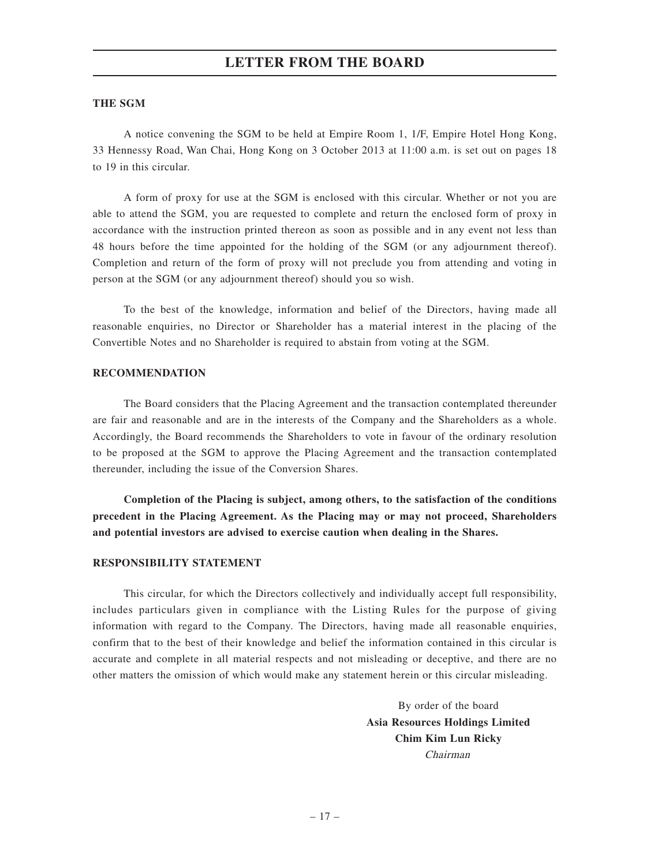#### **THE SGM**

A notice convening the SGM to be held at Empire Room 1, 1/F, Empire Hotel Hong Kong, 33 Hennessy Road, Wan Chai, Hong Kong on 3 October 2013 at 11:00 a.m. is set out on pages 18 to 19 in this circular.

A form of proxy for use at the SGM is enclosed with this circular. Whether or not you are able to attend the SGM, you are requested to complete and return the enclosed form of proxy in accordance with the instruction printed thereon as soon as possible and in any event not less than 48 hours before the time appointed for the holding of the SGM (or any adjournment thereof). Completion and return of the form of proxy will not preclude you from attending and voting in person at the SGM (or any adjournment thereof) should you so wish.

To the best of the knowledge, information and belief of the Directors, having made all reasonable enquiries, no Director or Shareholder has a material interest in the placing of the Convertible Notes and no Shareholder is required to abstain from voting at the SGM.

#### **RECOMMENDATION**

The Board considers that the Placing Agreement and the transaction contemplated thereunder are fair and reasonable and are in the interests of the Company and the Shareholders as a whole. Accordingly, the Board recommends the Shareholders to vote in favour of the ordinary resolution to be proposed at the SGM to approve the Placing Agreement and the transaction contemplated thereunder, including the issue of the Conversion Shares.

**Completion of the Placing is subject, among others, to the satisfaction of the conditions precedent in the Placing Agreement. As the Placing may or may not proceed, Shareholders and potential investors are advised to exercise caution when dealing in the Shares.**

#### **RESPONSIBILITY STATEMENT**

This circular, for which the Directors collectively and individually accept full responsibility, includes particulars given in compliance with the Listing Rules for the purpose of giving information with regard to the Company. The Directors, having made all reasonable enquiries, confirm that to the best of their knowledge and belief the information contained in this circular is accurate and complete in all material respects and not misleading or deceptive, and there are no other matters the omission of which would make any statement herein or this circular misleading.

> By order of the board **Asia Resources Holdings Limited Chim Kim Lun Ricky** Chairman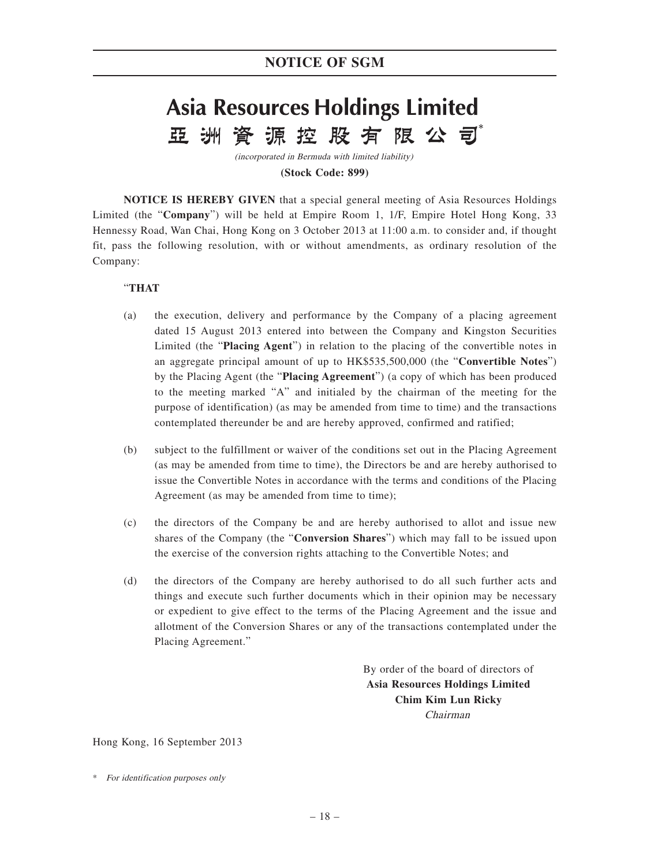# **Asia Resources Holdings Limited** 資源控股有限公司 亞 洲

(incorporated in Bermuda with limited liability)

**(Stock Code: 899)**

**NOTICE IS HEREBY GIVEN** that a special general meeting of Asia Resources Holdings Limited (the "**Company**") will be held at Empire Room 1, 1/F, Empire Hotel Hong Kong, 33 Hennessy Road, Wan Chai, Hong Kong on 3 October 2013 at 11:00 a.m. to consider and, if thought fit, pass the following resolution, with or without amendments, as ordinary resolution of the Company:

## "**THAT**

- (a) the execution, delivery and performance by the Company of a placing agreement dated 15 August 2013 entered into between the Company and Kingston Securities Limited (the "**Placing Agent**") in relation to the placing of the convertible notes in an aggregate principal amount of up to HK\$535,500,000 (the "**Convertible Notes**") by the Placing Agent (the "**Placing Agreement**") (a copy of which has been produced to the meeting marked "A" and initialed by the chairman of the meeting for the purpose of identification) (as may be amended from time to time) and the transactions contemplated thereunder be and are hereby approved, confirmed and ratified;
- (b) subject to the fulfillment or waiver of the conditions set out in the Placing Agreement (as may be amended from time to time), the Directors be and are hereby authorised to issue the Convertible Notes in accordance with the terms and conditions of the Placing Agreement (as may be amended from time to time);
- (c) the directors of the Company be and are hereby authorised to allot and issue new shares of the Company (the "**Conversion Shares**") which may fall to be issued upon the exercise of the conversion rights attaching to the Convertible Notes; and
- (d) the directors of the Company are hereby authorised to do all such further acts and things and execute such further documents which in their opinion may be necessary or expedient to give effect to the terms of the Placing Agreement and the issue and allotment of the Conversion Shares or any of the transactions contemplated under the Placing Agreement."

By order of the board of directors of **Asia Resources Holdings Limited Chim Kim Lun Ricky** Chairman

Hong Kong, 16 September 2013

<sup>\*</sup> For identification purposes only